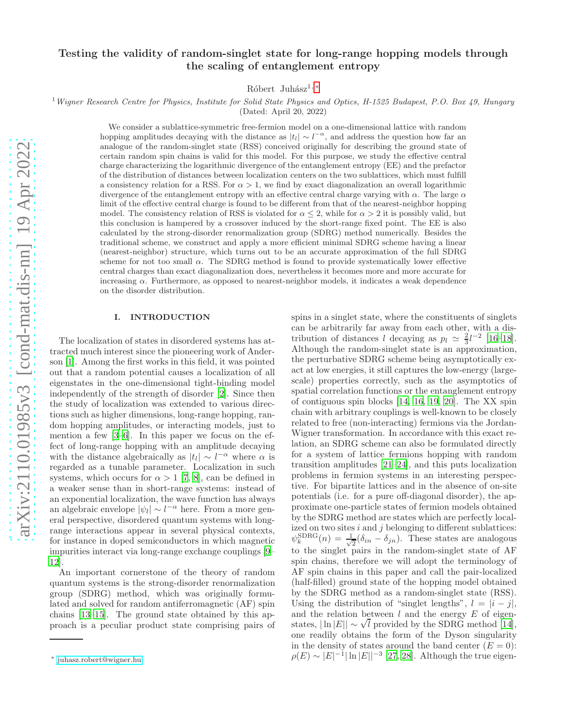# Testing the validity of random-singlet state for long-range hopping models through the scaling of entanglement entropy

Róbert Juhász<sup>1, [∗](#page-0-0)</sup>

### $1$  Wigner Research Centre for Physics, Institute for Solid State Physics and Optics, H-1525 Budapest, P.O. Box 49, Hungary

(Dated: April 20, 2022)

We consider a sublattice-symmetric free-fermion model on a one-dimensional lattice with random hopping amplitudes decaying with the distance as  $|t_l| \sim l^{-\alpha}$ , and address the question how far an analogue of the random-singlet state (RSS) conceived originally for describing the ground state of certain random spin chains is valid for this model. For this purpose, we study the effective central charge characterizing the logarithmic divergence of the entanglement entropy (EE) and the prefactor of the distribution of distances between localization centers on the two sublattices, which must fulfill a consistency relation for a RSS. For  $\alpha > 1$ , we find by exact diagonalization an overall logarithmic divergence of the entanglement entropy with an effective central charge varying with  $\alpha$ . The large  $\alpha$ limit of the effective central charge is found to be different from that of the nearest-neighbor hopping model. The consistency relation of RSS is violated for  $\alpha \leq 2$ , while for  $\alpha > 2$  it is possibly valid, but this conclusion is hampered by a crossover induced by the short-range fixed point. The EE is also calculated by the strong-disorder renormalization group (SDRG) method numerically. Besides the traditional scheme, we construct and apply a more efficient minimal SDRG scheme having a linear (nearest-neighbor) structure, which turns out to be an accurate approximation of the full SDRG scheme for not too small  $\alpha$ . The SDRG method is found to provide systematically lower effective central charges than exact diagonalization does, nevertheless it becomes more and more accurate for increasing  $\alpha$ . Furthermore, as opposed to nearest-neighbor models, it indicates a weak dependence on the disorder distribution.

### I. INTRODUCTION

The localization of states in disordered systems has attracted much interest since the pioneering work of Anderson [\[1\]](#page-10-0). Among the first works in this field, it was pointed out that a random potential causes a localization of all eigenstates in the one-dimensional tight-binding model independently of the strength of disorder [\[2\]](#page-10-1). Since then the study of localization was extended to various directions such as higher dimensions, long-range hopping, random hopping amplitudes, or interacting models, just to mention a few [\[3](#page-10-2)[–6\]](#page-10-3). In this paper we focus on the effect of long-range hopping with an amplitude decaying with the distance algebraically as  $|t_l| \sim l^{-\alpha}$  where  $\alpha$  is regarded as a tunable parameter. Localization in such systems, which occurs for  $\alpha > 1$  [\[7](#page-10-4), [8\]](#page-10-5), can be defined in a weaker sense than in short-range systems: instead of an exponential localization, the wave function has always an algebraic envelope  $|\psi_l| \sim l^{-\alpha}$  here. From a more general perspective, disordered quantum systems with longrange interactions appear in several physical contexts, for instance in doped semiconductors in which magnetic impurities interact via long-range exchange couplings [\[9](#page-10-6)– [12\]](#page-10-7).

An important cornerstone of the theory of random quantum systems is the strong-disorder renormalization group (SDRG) method, which was originally formulated and solved for random antiferromagnetic (AF) spin chains [\[13](#page-10-8)[–15\]](#page-10-9). The ground state obtained by this approach is a peculiar product state comprising pairs of

spins in a singlet state, where the constituents of singlets can be arbitrarily far away from each other, with a distribution of distances l decaying as  $p_l \simeq \frac{2}{3}l^{-2}$  [\[16](#page-11-0)[–18\]](#page-11-1). Although the random-singlet state is an approximation, the perturbative SDRG scheme being asymptotically exact at low energies, it still captures the low-energy (largescale) properties correctly, such as the asymptotics of spatial correlation functions or the entanglement entropy of contiguous spin blocks [\[14,](#page-10-10) [16](#page-11-0), [19,](#page-11-2) [20](#page-11-3)]. The XX spin chain with arbitrary couplings is well-known to be closely related to free (non-interacting) fermions via the Jordan-Wigner transformation. In accordance with this exact relation, an SDRG scheme can also be formulated directly for a system of lattice fermions hopping with random transition amplitudes [\[21](#page-11-4)[–24\]](#page-11-5), and this puts localization problems in fermion systems in an interesting perspective. For bipartite lattices and in the absence of on-site potentials (i.e. for a pure off-diagonal disorder), the approximate one-particle states of fermion models obtained by the SDRG method are states which are perfectly localized on two sites  $i$  and  $j$  belonging to different sublattices:  $\psi_k^{\rm SDRG}(n) = \frac{1}{\sqrt{2}}$  $\frac{1}{2}(\delta_{in} - \delta_{jn})$ . These states are analogous to the singlet pairs in the random-singlet state of AF spin chains, therefore we will adopt the terminology of AF spin chains in this paper and call the pair-localized (half-filled) ground state of the hopping model obtained by the SDRG method as a random-singlet state (RSS). Using the distribution of "singlet lengths",  $l = |i - j|$ , and the relation between  $l$  and the energy  $E$  of eigenstates,  $|\ln |E|| \sim \sqrt{l}$  provided by the SDRG method [\[14\]](#page-10-10), one readily obtains the form of the Dyson singularity in the density of states around the band center  $(E = 0)$ :  $\rho(E) \sim |E|^{-1} |\ln |E||^{-3}$  [\[27,](#page-11-6) [28](#page-11-7)]. Although the true eigen-

<span id="page-0-0"></span><sup>∗</sup> [juhasz.robert@wigner.hu](mailto:juhasz.robert@wigner.hu)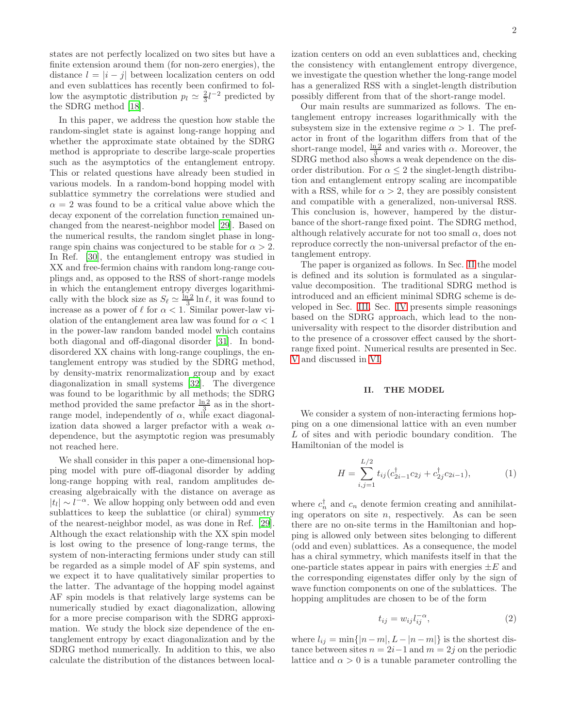states are not perfectly localized on two sites but have a finite extension around them (for non-zero energies), the distance  $l = |i - j|$  between localization centers on odd and even sublattices has recently been confirmed to follow the asymptotic distribution  $p_l \simeq \frac{2}{3}l^{-2}$  predicted by the SDRG method [\[18\]](#page-11-1).

In this paper, we address the question how stable the random-singlet state is against long-range hopping and whether the approximate state obtained by the SDRG method is appropriate to describe large-scale properties such as the asymptotics of the entanglement entropy. This or related questions have already been studied in various models. In a random-bond hopping model with sublattice symmetry the correlations were studied and  $\alpha = 2$  was found to be a critical value above which the decay exponent of the correlation function remained unchanged from the nearest-neighbor model [\[29\]](#page-11-8). Based on the numerical results, the random singlet phase in longrange spin chains was conjectured to be stable for  $\alpha > 2$ . In Ref. [\[30\]](#page-11-9), the entanglement entropy was studied in XX and free-fermion chains with random long-range couplings and, as opposed to the RSS of short-range models in which the entanglement entropy diverges logarithmically with the block size as  $S_{\ell} \simeq \frac{\ln 2}{3} \ln \ell$ , it was found to increase as a power of  $\ell$  for  $\alpha < 1$ . Similar power-law violation of the entanglement area law was found for  $\alpha < 1$ in the power-law random banded model which contains both diagonal and off-diagonal disorder [\[31](#page-11-10)]. In bonddisordered XX chains with long-range couplings, the entanglement entropy was studied by the SDRG method, by density-matrix renormalization group and by exact diagonalization in small systems [\[32\]](#page-11-11). The divergence was found to be logarithmic by all methods; the SDRG method provided the same prefactor  $\frac{\ln 2}{3}$  as in the shortmethod provided the same prelation  $\frac{3}{3}$  as in the short-<br>range model, independently of  $\alpha$ , while exact diagonalization data showed a larger prefactor with a weak  $\alpha$ dependence, but the asymptotic region was presumably not reached here.

We shall consider in this paper a one-dimensional hopping model with pure off-diagonal disorder by adding long-range hopping with real, random amplitudes decreasing algebraically with the distance on average as  $|t_l|$  ∼  $l^{-\alpha}$ . We allow hopping only between odd and even sublattices to keep the sublattice (or chiral) symmetry of the nearest-neighbor model, as was done in Ref. [\[29\]](#page-11-8). Although the exact relationship with the XX spin model is lost owing to the presence of long-range terms, the system of non-interacting fermions under study can still be regarded as a simple model of AF spin systems, and we expect it to have qualitatively similar properties to the latter. The advantage of the hopping model against AF spin models is that relatively large systems can be numerically studied by exact diagonalization, allowing for a more precise comparison with the SDRG approximation. We study the block size dependence of the entanglement entropy by exact diagonalization and by the SDRG method numerically. In addition to this, we also calculate the distribution of the distances between localization centers on odd an even sublattices and, checking the consistency with entanglement entropy divergence, we investigate the question whether the long-range model has a generalized RSS with a singlet-length distribution possibly different from that of the short-range model.

Our main results are summarized as follows. The entanglement entropy increases logarithmically with the subsystem size in the extensive regime  $\alpha > 1$ . The prefactor in front of the logarithm differs from that of the short-range model,  $\frac{\ln 2}{3}$  and varies with  $\alpha$ . Moreover, the SDRG method also shows a weak dependence on the disorder distribution. For  $\alpha \leq 2$  the singlet-length distribution and entanglement entropy scaling are incompatible with a RSS, while for  $\alpha > 2$ , they are possibly consistent and compatible with a generalized, non-universal RSS. This conclusion is, however, hampered by the disturbance of the short-range fixed point. The SDRG method, although relatively accurate for not too small  $\alpha$ , does not reproduce correctly the non-universal prefactor of the entanglement entropy.

The paper is organized as follows. In Sec. [II](#page-1-0) the model is defined and its solution is formulated as a singularvalue decomposition. The traditional SDRG method is introduced and an efficient minimal SDRG scheme is developed in Sec. [III.](#page-3-0) Sec. [IV](#page-4-0) presents simple reasonings based on the SDRG approach, which lead to the nonuniversality with respect to the disorder distribution and to the presence of a crossover effect caused by the shortrange fixed point. Numerical results are presented in Sec. [V](#page-5-0) and discussed in [VI.](#page-9-0)

#### <span id="page-1-0"></span>II. THE MODEL

We consider a system of non-interacting fermions hopping on a one dimensional lattice with an even number L of sites and with periodic boundary condition. The Hamiltonian of the model is

<span id="page-1-1"></span>
$$
H = \sum_{i,j=1}^{L/2} t_{ij} (c_{2i-1}^{\dagger} c_{2j} + c_{2j}^{\dagger} c_{2i-1}),
$$
 (1)

where  $c_n^{\dagger}$  and  $c_n$  denote fermion creating and annihilating operators on site  $n$ , respectively. As can be seen there are no on-site terms in the Hamiltonian and hopping is allowed only between sites belonging to different (odd and even) sublattices. As a consequence, the model has a chiral symmetry, which manifests itself in that the one-particle states appear in pairs with energies  $\pm E$  and the corresponding eigenstates differ only by the sign of wave function components on one of the sublattices. The hopping amplitudes are chosen to be of the form

$$
t_{ij} = w_{ij} l_{ij}^{-\alpha},\tag{2}
$$

where  $l_{ij} = \min\{|n - m|, L - |n - m|\}$  is the shortest distance between sites  $n = 2i-1$  and  $m = 2j$  on the periodic lattice and  $\alpha > 0$  is a tunable parameter controlling the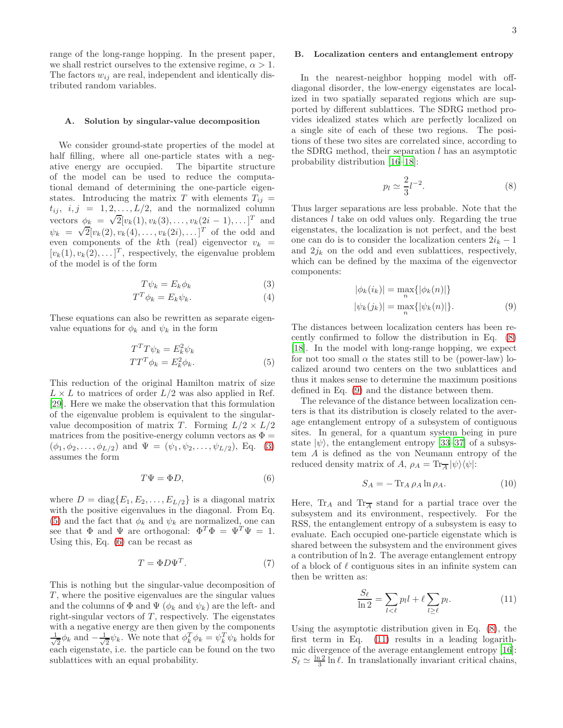range of the long-range hopping. In the present paper, we shall restrict ourselves to the extensive regime,  $\alpha > 1$ . The factors  $w_{ij}$  are real, independent and identically distributed random variables.

#### A. Solution by singular-value decomposition

We consider ground-state properties of the model at half filling, where all one-particle states with a negative energy are occupied. The bipartite structure of the model can be used to reduce the computational demand of determining the one-particle eigenstates. Introducing the matrix T with elements  $T_{ij} =$  $t_{ij}, i, j = 1, 2, \ldots, L/2$ , and the normalized column vectors  $\phi_k = \sqrt{2} [v_k(1), v_k(3), \dots, v_k(2i-1), \dots]^T$  and  $\psi_k = \sqrt{2} [v_k(2), v_k(4), \dots, v_k(2i), \dots]^T$  of the odd and even components of the kth (real) eigenvector  $v_k$  =  $[v_k(1), v_k(2), \ldots]^T$ , respectively, the eigenvalue problem of the model is of the form

<span id="page-2-0"></span>
$$
T\psi_k = E_k \phi_k \tag{3}
$$

$$
T^T \phi_k = E_k \psi_k. \tag{4}
$$

These equations can also be rewritten as separate eigenvalue equations for  $\phi_k$  and  $\psi_k$  in the form

<span id="page-2-1"></span>
$$
T^T T \psi_k = E_k^2 \psi_k
$$
  

$$
TT^T \phi_k = E_k^2 \phi_k.
$$
 (5)

This reduction of the original Hamilton matrix of size  $L \times L$  to matrices of order  $L/2$  was also applied in Ref. [\[29\]](#page-11-8). Here we make the observation that this formulation of the eigenvalue problem is equivalent to the singularvalue decomposition of matrix T. Forming  $L/2 \times L/2$ matrices from the positive-energy column vectors as  $\Phi =$  $(\phi_1, \phi_2, \ldots, \phi_{L/2})$  and  $\Psi = (\psi_1, \psi_2, \ldots, \psi_{L/2})$ , Eq. [\(3\)](#page-2-0) assumes the form

<span id="page-2-2"></span>
$$
T\Psi = \Phi D,\tag{6}
$$

where  $D = diag{E_1, E_2, \ldots, E_{L/2}}$  is a diagonal matrix with the positive eigenvalues in the diagonal. From Eq. [\(5\)](#page-2-1) and the fact that  $\phi_k$  and  $\psi_k$  are normalized, one can see that  $\Phi$  and  $\Psi$  are orthogonal:  $\Phi^T \Phi = \Psi^T \Psi = 1$ . Using this, Eq. [\(6\)](#page-2-2) can be recast as

$$
T = \Phi D \Psi^T. \tag{7}
$$

This is nothing but the singular-value decomposition of  $T$ , where the positive eigenvalues are the singular values and the columns of  $\Phi$  and  $\Psi$  ( $\phi_k$  and  $\psi_k$ ) are the left- and right-singular vectors of  $T$ , respectively. The eigenstates with a negative energy are then given by the components √ 1  $\frac{1}{2}\phi_k$  and  $-\frac{1}{\sqrt{2}}$  $\frac{1}{2}\psi_k$ . We note that  $\phi_k^T \phi_k = \psi_k^T \psi_k$  holds for each eigenstate, i.e. the particle can be found on the two sublattices with an equal probability.

### B. Localization centers and entanglement entropy

In the nearest-neighbor hopping model with offdiagonal disorder, the low-energy eigenstates are localized in two spatially separated regions which are supported by different sublattices. The SDRG method provides idealized states which are perfectly localized on a single site of each of these two regions. The positions of these two sites are correlated since, according to the SDRG method, their separation  $l$  has an asymptotic probability distribution [\[16](#page-11-0)[–18\]](#page-11-1):

<span id="page-2-3"></span>
$$
p_l \simeq \frac{2}{3} l^{-2}.\tag{8}
$$

Thus larger separations are less probable. Note that the distances l take on odd values only. Regarding the true eigenstates, the localization is not perfect, and the best one can do is to consider the localization centers  $2i_k - 1$ and  $2j_k$  on the odd and even sublattices, respectively, which can be defined by the maxima of the eigenvector components:

<span id="page-2-4"></span>
$$
|\phi_k(i_k)| = \max_n \{ |\phi_k(n)| \}
$$
  

$$
|\psi_k(j_k)| = \max_n \{ |\psi_k(n)| \}.
$$
 (9)

The distances between localization centers has been recently confirmed to follow the distribution in Eq. [\(8\)](#page-2-3) [\[18\]](#page-11-1). In the model with long-range hopping, we expect for not too small  $\alpha$  the states still to be (power-law) localized around two centers on the two sublattices and thus it makes sense to determine the maximum positions defined in Eq. [\(9\)](#page-2-4) and the distance between them.

The relevance of the distance between localization centers is that its distribution is closely related to the average entanglement entropy of a subsystem of contiguous sites. In general, for a quantum system being in pure state  $|\psi\rangle$ , the entanglement entropy [\[33–](#page-11-12)[37\]](#page-11-13) of a subsystem A is defined as the von Neumann entropy of the reduced density matrix of  $A$ ,  $\rho_A = \text{Tr}_{\overline{A}}|\psi\rangle\langle\psi|$ :

$$
S_A = -\operatorname{Tr}_A \rho_A \ln \rho_A. \tag{10}
$$

Here,  $Tr_A$  and  $Tr_{\overline{A}}$  stand for a partial trace over the subsystem and its environment, respectively. For the RSS, the entanglement entropy of a subsystem is easy to evaluate. Each occupied one-particle eigenstate which is shared between the subsystem and the environment gives a contribution of ln 2. The average entanglement entropy of a block of  $\ell$  contiguous sites in an infinite system can then be written as:

<span id="page-2-5"></span>
$$
\frac{S_{\ell}}{\ln 2} = \sum_{l < \ell} p_l l + \ell \sum_{l \ge \ell} p_l. \tag{11}
$$

Using the asymptotic distribution given in Eq. [\(8\)](#page-2-3), the first term in Eq. [\(11\)](#page-2-5) results in a leading logarithmic divergence of the average entanglement entropy [\[16\]](#page-11-0):  $S_{\ell} \simeq \frac{\ln 2}{3} \ln \ell$ . In translationally invariant critical chains,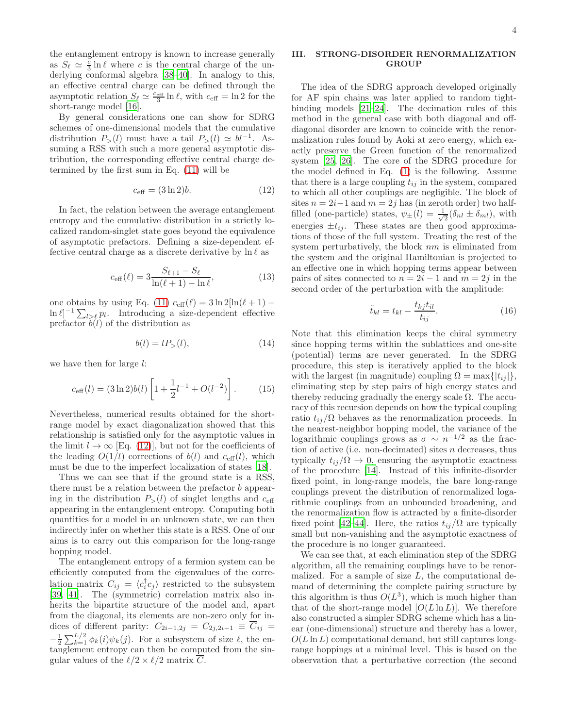the entanglement entropy is known to increase generally as  $S_{\ell} \simeq \frac{c}{3} \ln \ell$  where c is the central charge of the underlying conformal algebra [\[38](#page-11-14)[–40\]](#page-11-15). In analogy to this, an effective central charge can be defined through the asymptotic relation  $S_{\ell} \simeq \frac{c_{\text{eff}}}{3} \ln \ell$ , with  $c_{\text{eff}} = \ln 2$  for the short-range model [\[16](#page-11-0)].

By general considerations one can show for SDRG schemes of one-dimensional models that the cumulative distribution  $P_>(l)$  must have a tail  $P_>(l) \simeq bl^{-1}$ . Assuming a RSS with such a more general asymptotic distribution, the corresponding effective central charge determined by the first sum in Eq. [\(11\)](#page-2-5) will be

<span id="page-3-1"></span>
$$
c_{\text{eff}} = (3 \ln 2)b. \tag{12}
$$

In fact, the relation between the average entanglement entropy and the cumulative distribution in a strictly localized random-singlet state goes beyond the equivalence of asymptotic prefactors. Defining a size-dependent effective central charge as a discrete derivative by  $\ln \ell$  as

$$
c_{\text{eff}}(\ell) = 3 \frac{S_{\ell+1} - S_{\ell}}{\ln(\ell+1) - \ln \ell},
$$
 (13)

one obtains by using Eq. [\(11\)](#page-2-5)  $c_{\text{eff}}(\ell) = 3 \ln 2[\ln(\ell+1) \ln \ell$ <sup>-1</sup> $\sum_{l > \ell} p_l$ . Introducing a size-dependent effective prefactor  $\hat{b}(l)$  of the distribution as

<span id="page-3-3"></span>
$$
b(l) = lP_{>}(l), \tag{14}
$$

we have then for large l:

$$
c_{\text{eff}}(l) = (3\ln 2)b(l)\left[1 + \frac{1}{2}l^{-1} + O(l^{-2})\right].
$$
 (15)

Nevertheless, numerical results obtained for the shortrange model by exact diagonalization showed that this relationship is satisfied only for the asymptotic values in the limit  $l \to \infty$  [Eq. [\(12\)](#page-3-1)], but not for the coefficients of the leading  $O(1/l)$  corrections of  $b(l)$  and  $c_{\text{eff}}(l)$ , which must be due to the imperfect localization of states [\[18\]](#page-11-1).

Thus we can see that if the ground state is a RSS, there must be a relation between the prefactor b appearing in the distribution  $P_>(l)$  of singlet lengths and  $c_{\text{eff}}$ appearing in the entanglement entropy. Computing both quantities for a model in an unknown state, we can then indirectly infer on whether this state is a RSS. One of our aims is to carry out this comparison for the long-range hopping model.

The entanglement entropy of a fermion system can be efficiently computed from the eigenvalues of the correlation matrix  $C_{ij} = \langle c_i^{\dagger} c_j \rangle$  restricted to the subsystem [\[39,](#page-11-16) [41\]](#page-11-17). The (symmetric) correlation matrix also inherits the bipartite structure of the model and, apart from the diagonal, its elements are non-zero only for indices of different parity:  $C_{2i-1,2j} = C_{2j,2i-1} \equiv \overline{C}_{ij}$  $-\frac{1}{2}\sum_{k=1}^{L/2}\phi_k(i)\psi_k(j)$ . For a subsystem of size  $\ell$ , the entanglement entropy can then be computed from the singular values of the  $\ell/2 \times \ell/2$  matrix  $\overline{C}$ .

### <span id="page-3-0"></span>III. STRONG-DISORDER RENORMALIZATION **GROUP**

The idea of the SDRG approach developed originally for AF spin chains was later applied to random tightbinding models [\[21](#page-11-4)[–24\]](#page-11-5). The decimation rules of this method in the general case with both diagonal and offdiagonal disorder are known to coincide with the renormalization rules found by Aoki at zero energy, which exactly preserve the Green function of the renormalized system [\[25](#page-11-18), [26](#page-11-19)]. The core of the SDRG procedure for the model defined in Eq. [\(1\)](#page-1-1) is the following. Assume that there is a large coupling  $t_{ij}$  in the system, compared to which all other couplings are negligible. The block of sites  $n = 2i-1$  and  $m = 2j$  has (in zeroth order) two halffilled (one-particle) states,  $\psi_{\pm}(l) = \frac{1}{\sqrt{l}}$  $\frac{1}{2}(\delta_{nl} \pm \delta_{ml}),$  with energies  $\pm t_{ij}$ . These states are then good approximations of those of the full system. Treating the rest of the system perturbatively, the block  $nm$  is eliminated from the system and the original Hamiltonian is projected to an effective one in which hopping terms appear between pairs of sites connected to  $n = 2i - 1$  and  $m = 2j$  in the second order of the perturbation with the amplitude:

<span id="page-3-2"></span>
$$
\tilde{t}_{kl} = t_{kl} - \frac{t_{kj}t_{il}}{t_{ij}}.\t(16)
$$

Note that this elimination keeps the chiral symmetry since hopping terms within the sublattices and one-site (potential) terms are never generated. In the SDRG procedure, this step is iteratively applied to the block with the largest (in magnitude) coupling  $\Omega = \max\{|t_{ij}|\},\$ eliminating step by step pairs of high energy states and thereby reducing gradually the energy scale  $\Omega$ . The accuracy of this recursion depends on how the typical coupling ratio  $t_{ij}/\Omega$  behaves as the renormalization proceeds. In the nearest-neighbor hopping model, the variance of the logarithmic couplings grows as  $\sigma \sim n^{-1/2}$  as the fraction of active (i.e. non-decimated) sites  $n$  decreases, thus typically  $t_{ij}/\Omega \rightarrow 0$ , ensuring the asymptotic exactness of the procedure [\[14\]](#page-10-10). Instead of this infinite-disorder fixed point, in long-range models, the bare long-range couplings prevent the distribution of renormalized logarithmic couplings from an unbounded broadening, and the renormalization flow is attracted by a finite-disorder fixed point [\[42](#page-11-20)[–44\]](#page-11-21). Here, the ratios  $t_{ii}/\Omega$  are typically small but non-vanishing and the asymptotic exactness of the procedure is no longer guaranteed.

We can see that, at each elimination step of the SDRG algorithm, all the remaining couplings have to be renormalized. For a sample of size  $L$ , the computational demand of determining the complete pairing structure by this algorithm is thus  $O(L^3)$ , which is much higher than that of the short-range model  $[O(L \ln L)]$ . We therefore also constructed a simpler SDRG scheme which has a linear (one-dimensional) structure and thereby has a lower,  $O(L \ln L)$  computational demand, but still captures longrange hoppings at a minimal level. This is based on the observation that a perturbative correction (the second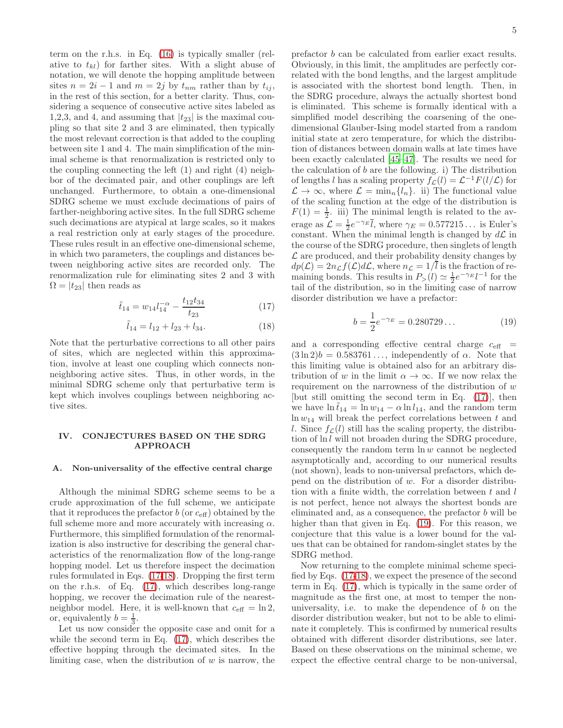term on the r.h.s. in Eq. [\(16\)](#page-3-2) is typically smaller (relative to  $t_{kl}$ ) for farther sites. With a slight abuse of notation, we will denote the hopping amplitude between sites  $n = 2i - 1$  and  $m = 2j$  by  $t_{nm}$  rather than by  $t_{ij}$ , in the rest of this section, for a better clarity. Thus, considering a sequence of consecutive active sites labeled as 1,2,3, and 4, and assuming that  $|t_{23}|$  is the maximal coupling so that site 2 and 3 are eliminated, then typically the most relevant correction is that added to the coupling between site 1 and 4. The main simplification of the minimal scheme is that renormalization is restricted only to the coupling connecting the left (1) and right (4) neighbor of the decimated pair, and other couplings are left unchanged. Furthermore, to obtain a one-dimensional SDRG scheme we must exclude decimations of pairs of farther-neighboring active sites. In the full SDRG scheme such decimations are atypical at large scales, so it makes a real restriction only at early stages of the procedure. These rules result in an effective one-dimensional scheme, in which two parameters, the couplings and distances between neighboring active sites are recorded only. The renormalization rule for eliminating sites 2 and 3 with  $\Omega = |t_{23}|$  then reads as

<span id="page-4-1"></span>
$$
\tilde{t}_{14} = w_{14} l_{14}^{-\alpha} - \frac{t_{12} t_{34}}{t_{23}} \tag{17}
$$

$$
\tilde{l}_{14} = l_{12} + l_{23} + l_{34}.
$$
 (18)

Note that the perturbative corrections to all other pairs of sites, which are neglected within this approximation, involve at least one coupling which connects nonneighboring active sites. Thus, in other words, in the minimal SDRG scheme only that perturbative term is kept which involves couplings between neighboring active sites.

### <span id="page-4-0"></span>IV. CONJECTURES BASED ON THE SDRG APPROACH

## A. Non-universality of the effective central charge

Although the minimal SDRG scheme seems to be a crude approximation of the full scheme, we anticipate that it reproduces the prefactor  $b$  (or  $c_{\text{eff}}$ ) obtained by the full scheme more and more accurately with increasing  $\alpha$ . Furthermore, this simplified formulation of the renormalization is also instructive for describing the general characteristics of the renormalization flow of the long-range hopping model. Let us therefore inspect the decimation rules formulated in Eqs. [\(17-18\)](#page-4-1). Dropping the first term on the r.h.s. of Eq. [\(17\)](#page-4-1), which describes long-range hopping, we recover the decimation rule of the nearestneighbor model. Here, it is well-known that  $c_{\text{eff}} = \ln 2$ , or, equivalently  $b = \frac{1}{3}$ .

Let us now consider the opposite case and omit for a while the second term in Eq. [\(17\)](#page-4-1), which describes the effective hopping through the decimated sites. In the limiting case, when the distribution of  $w$  is narrow, the

prefactor b can be calculated from earlier exact results. Obviously, in this limit, the amplitudes are perfectly correlated with the bond lengths, and the largest amplitude is associated with the shortest bond length. Then, in the SDRG procedure, always the actually shortest bond is eliminated. This scheme is formally identical with a simplified model describing the coarsening of the onedimensional Glauber-Ising model started from a random initial state at zero temperature, for which the distribution of distances between domain walls at late times have been exactly calculated [\[45](#page-11-22)[–47\]](#page-11-23). The results we need for the calculation of  $b$  are the following. i) The distribution of lengths l has a scaling property  $f_{\mathcal{L}}(l) = \mathcal{L}^{-1}F(l/\mathcal{L})$  for  $\mathcal{L} \to \infty$ , where  $\mathcal{L} = \min_n \{l_n\}$ . ii) The functional value of the scaling function at the edge of the distribution is  $F(1) = \frac{1}{2}$ . iii) The minimal length is related to the average as  $\mathcal{L} = \frac{1}{2}e^{-\gamma_E \overline{l}}$ , where  $\gamma_E = 0.577215...$  is Euler's constant. When the minimal length is changed by  $d\mathcal{L}$  in the course of the SDRG procedure, then singlets of length  $\mathcal L$  are produced, and their probability density changes by  $dp(\mathcal{L}) = 2n_{\mathcal{L}}f(\mathcal{L})d\mathcal{L}$ , where  $n_{\mathcal{L}} = 1/\overline{l}$  is the fraction of remaining bonds. This results in  $P_>(l) \simeq \frac{1}{2}e^{-\gamma_E}l^{-1}$  for the tail of the distribution, so in the limiting case of narrow disorder distribution we have a prefactor:

<span id="page-4-2"></span>
$$
b = \frac{1}{2}e^{-\gamma_E} = 0.280729\ldots
$$
 (19)

and a corresponding effective central charge  $c_{\text{eff}}$  =  $(3 \ln 2)b = 0.583761...$ , independently of  $\alpha$ . Note that this limiting value is obtained also for an arbitrary distribution of w in the limit  $\alpha \to \infty$ . If we now relax the requirement on the narrowness of the distribution of  $w$ [but still omitting the second term in Eq. [\(17\)](#page-4-1)], then we have  $\ln \tilde{t}_{14} = \ln w_{14} - \alpha \ln l_{14}$ , and the random term  $\ln w_{14}$  will break the perfect correlations between t and l. Since  $f_{\mathcal{L}}(l)$  still has the scaling property, the distribution of  $\ln l$  will not broaden during the SDRG procedure, consequently the random term  $\ln w$  cannot be neglected asymptotically and, according to our numerical results (not shown), leads to non-universal prefactors, which depend on the distribution of  $w$ . For a disorder distribution with a finite width, the correlation between  $t$  and  $l$ is not perfect, hence not always the shortest bonds are eliminated and, as a consequence, the prefactor  $b$  will be higher than that given in Eq.  $(19)$ . For this reason, we conjecture that this value is a lower bound for the values that can be obtained for random-singlet states by the SDRG method.

Now returning to the complete minimal scheme specified by Eqs. [\(17-18\)](#page-4-1), we expect the presence of the second term in Eq. [\(17\)](#page-4-1), which is typically in the same order of magnitude as the first one, at most to temper the nonuniversality, i.e. to make the dependence of  $b$  on the disorder distribution weaker, but not to be able to eliminate it completely. This is confirmed by numerical results obtained with different disorder distributions, see later. Based on these observations on the minimal scheme, we expect the effective central charge to be non-universal,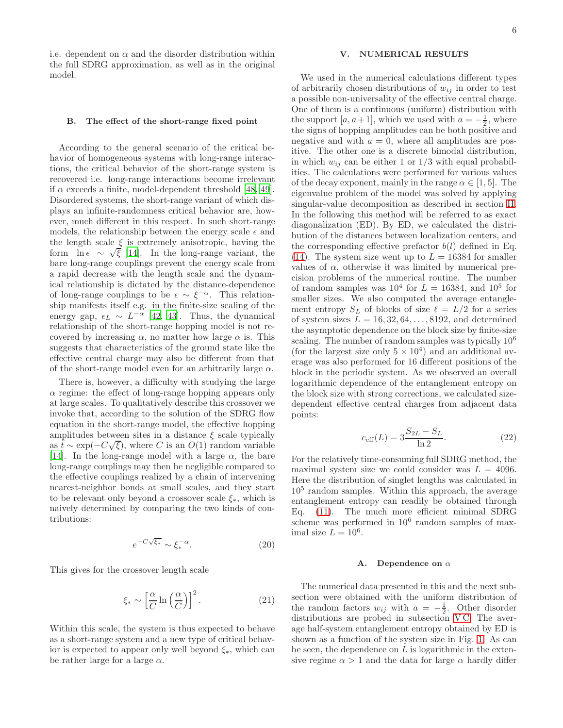i.e. dependent on  $\alpha$  and the disorder distribution within the full SDRG approximation, as well as in the original model.

### B. The effect of the short-range fixed point

According to the general scenario of the critical behavior of homogeneous systems with long-range interactions, the critical behavior of the short-range system is recovered i.e. long-range interactions become irrelevant if  $\alpha$  exceeds a finite, model-dependent threshold [\[48,](#page-11-24) [49\]](#page-11-25). Disordered systems, the short-range variant of which displays an infinite-randomness critical behavior are, however, much different in this respect. In such short-range models, the relationship between the energy scale  $\epsilon$  and the length scale  $\xi$  is extremely anisotropic, having the form  $\ln \epsilon | \sim \sqrt{\xi}$  [\[14](#page-10-10)]. In the long-range variant, the bare long-range couplings prevent the energy scale from a rapid decrease with the length scale and the dynamical relationship is dictated by the distance-dependence of long-range couplings to be  $\epsilon \sim \xi^{-\alpha}$ . This relationship manifests itself e.g. in the finite-size scaling of the energy gap,  $\epsilon_L \sim L^{-\alpha}$  [\[42,](#page-11-20) [43](#page-11-26)]. Thus, the dynamical relationship of the short-range hopping model is not recovered by increasing  $\alpha$ , no matter how large  $\alpha$  is. This suggests that characteristics of the ground state like the effective central charge may also be different from that of the short-range model even for an arbitrarily large  $\alpha$ .

There is, however, a difficulty with studying the large  $\alpha$  regime: the effect of long-range hopping appears only at large scales. To qualitatively describe this crossover we invoke that, according to the solution of the SDRG flow equation in the short-range model, the effective hopping amplitudes between sites in a distance  $\xi$  scale typically as  $\hat{t} \sim \exp(-C\sqrt{\xi})$ , where C is an O(1) random variable [\[14\]](#page-10-10). In the long-range model with a large  $\alpha$ , the bare long-range couplings may then be negligible compared to the effective couplings realized by a chain of intervening nearest-neighbor bonds at small scales, and they start to be relevant only beyond a crossover scale  $\xi_*$ , which is naively determined by comparing the two kinds of contributions:

$$
e^{-C\sqrt{\xi_*}} \sim \xi_*^{-\alpha}.\tag{20}
$$

This gives for the crossover length scale

<span id="page-5-1"></span>
$$
\xi_* \sim \left[\frac{\alpha}{C} \ln\left(\frac{\alpha}{C}\right)\right]^2. \tag{21}
$$

Within this scale, the system is thus expected to behave as a short-range system and a new type of critical behavior is expected to appear only well beyond  $\xi_*,$  which can be rather large for a large  $\alpha$ .

### <span id="page-5-0"></span>V. NUMERICAL RESULTS

We used in the numerical calculations different types of arbitrarily chosen distributions of  $w_{ij}$  in order to test a possible non-universality of the effective central charge. One of them is a continuous (uniform) distribution with the support  $[a, a+1]$ , which we used with  $a = -\frac{1}{2}$ , where the signs of hopping amplitudes can be both positive and negative and with  $a = 0$ , where all amplitudes are positive. The other one is a discrete bimodal distribution, in which  $w_{ij}$  can be either 1 or  $1/3$  with equal probabilities. The calculations were performed for various values of the decay exponent, mainly in the range  $\alpha \in [1, 5]$ . The eigenvalue problem of the model was solved by applying singular-value decomposition as described in section [II.](#page-1-0) In the following this method will be referred to as exact diagonalization (ED). By ED, we calculated the distribution of the distances between localization centers, and the corresponding effective prefactor  $b(l)$  defined in Eq. [\(14\)](#page-3-3). The system size went up to  $L = 16384$  for smaller values of  $\alpha$ , otherwise it was limited by numerical precision problems of the numerical routine. The number of random samples was  $10^4$  for  $L = 16384$ , and  $10^5$  for smaller sizes. We also computed the average entanglement entropy  $S_L$  of blocks of size  $\ell = L/2$  for a series of system sizes  $L = 16, 32, 64, \ldots, 8192$ , and determined the asymptotic dependence on the block size by finite-size scaling. The number of random samples was typically 10<sup>6</sup> (for the largest size only  $5 \times 10^4$ ) and an additional average was also performed for 16 different positions of the block in the periodic system. As we observed an overall logarithmic dependence of the entanglement entropy on the block size with strong corrections, we calculated sizedependent effective central charges from adjacent data points:

$$
c_{\text{eff}}(L) = 3\frac{S_{2L} - S_L}{\ln 2}.\tag{22}
$$

For the relatively time-consuming full SDRG method, the maximal system size we could consider was  $L = 4096$ . Here the distribution of singlet lengths was calculated in 10<sup>5</sup> random samples. Within this approach, the average entanglement entropy can readily be obtained through Eq. [\(11\)](#page-2-5). The much more efficient minimal SDRG scheme was performed in  $10^6$  random samples of maximal size  $L = 10^6$ .

#### A. Dependence on  $\alpha$

The numerical data presented in this and the next subsection were obtained with the uniform distribution of the random factors  $w_{ij}$  with  $a = -\frac{1}{2}$ . Other disorder distributions are probed in subsection VC. The average half-system entanglement entropy obtained by ED is shown as a function of the system size in Fig. [1.](#page-6-0) As can be seen, the dependence on  $L$  is logarithmic in the extensive regime  $\alpha > 1$  and the data for large  $\alpha$  hardly differ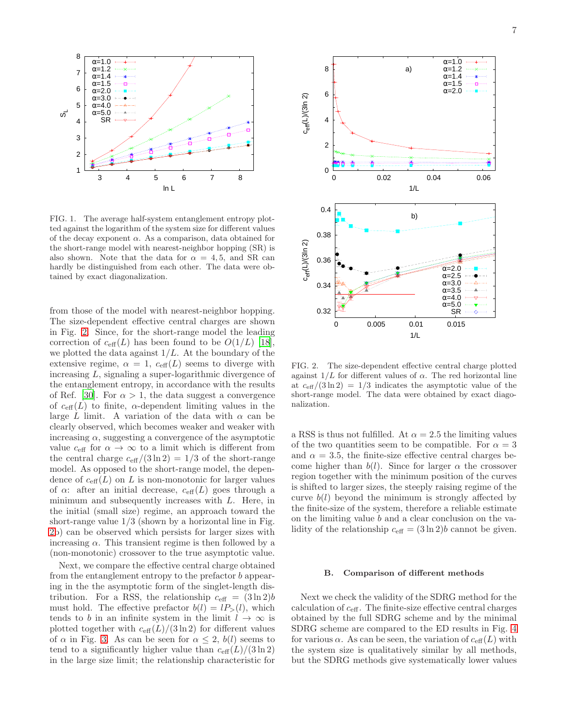

<span id="page-6-0"></span>FIG. 1. The average half-system entanglement entropy plotted against the logarithm of the system size for different values of the decay exponent  $\alpha$ . As a comparison, data obtained for the short-range model with nearest-neighbor hopping (SR) is also shown. Note that the data for  $\alpha = 4, 5$ , and SR can hardly be distinguished from each other. The data were obtained by exact diagonalization.

from those of the model with nearest-neighbor hopping. The size-dependent effective central charges are shown in Fig. [2.](#page-6-1) Since, for the short-range model the leading correction of  $c_{\text{eff}}(L)$  has been found to be  $O(1/L)$  [\[18\]](#page-11-1), we plotted the data against  $1/L$ . At the boundary of the extensive regime,  $\alpha = 1$ ,  $c_{\text{eff}}(L)$  seems to diverge with increasing L, signaling a super-logarithmic divergence of the entanglement entropy, in accordance with the results of Ref. [\[30\]](#page-11-9). For  $\alpha > 1$ , the data suggest a convergence of  $c_{\text{eff}}(L)$  to finite,  $\alpha$ -dependent limiting values in the large L limit. A variation of the data with  $\alpha$  can be clearly observed, which becomes weaker and weaker with increasing  $\alpha$ , suggesting a convergence of the asymptotic value  $c_{\text{eff}}$  for  $\alpha \to \infty$  to a limit which is different from the central charge  $c_{\text{eff}}/(3 \ln 2) = 1/3$  of the short-range model. As opposed to the short-range model, the dependence of  $c_{\text{eff}}(L)$  on L is non-monotonic for larger values of  $\alpha$ : after an initial decrease,  $c_{\text{eff}}(L)$  goes through a minimum and subsequently increases with L. Here, in the initial (small size) regime, an approach toward the short-range value 1/3 (shown by a horizontal line in Fig. [2b](#page-6-1)) can be observed which persists for larger sizes with increasing  $\alpha$ . This transient regime is then followed by a (non-monotonic) crossover to the true asymptotic value.

Next, we compare the effective central charge obtained from the entanglement entropy to the prefactor  $b$  appearing in the the asymptotic form of the singlet-length distribution. For a RSS, the relationship  $c_{\text{eff}} = (3 \ln 2)b$ must hold. The effective prefactor  $b(l) = lP_>(l)$ , which tends to b in an infinite system in the limit  $l \to \infty$  is plotted together with  $c_{\text{eff}}(L)/(3 \ln 2)$  for different values of  $\alpha$  in Fig. [3.](#page-7-0) As can be seen for  $\alpha \leq 2$ ,  $b(l)$  seems to tend to a significantly higher value than  $c_{\text{eff}}(L)/(3 \ln 2)$ in the large size limit; the relationship characteristic for



<span id="page-6-1"></span>FIG. 2. The size-dependent effective central charge plotted against  $1/L$  for different values of  $\alpha$ . The red horizontal line at  $c_{\text{eff}}/(3 \ln 2) = 1/3$  indicates the asymptotic value of the short-range model. The data were obtained by exact diagonalization.

a RSS is thus not fulfilled. At  $\alpha = 2.5$  the limiting values of the two quantities seem to be compatible. For  $\alpha = 3$ and  $\alpha = 3.5$ , the finite-size effective central charges become higher than  $b(l)$ . Since for larger  $\alpha$  the crossover region together with the minimum position of the curves is shifted to larger sizes, the steeply raising regime of the curve  $b(l)$  beyond the minimum is strongly affected by the finite-size of the system, therefore a reliable estimate on the limiting value b and a clear conclusion on the validity of the relationship  $c_{\text{eff}} = (3 \ln 2)b$  cannot be given.

#### B. Comparison of different methods

Next we check the validity of the SDRG method for the calculation of ceff. The finite-size effective central charges obtained by the full SDRG scheme and by the minimal SDRG scheme are compared to the ED results in Fig. [4](#page-8-1) for various  $\alpha$ . As can be seen, the variation of  $c_{\text{eff}}(L)$  with the system size is qualitatively similar by all methods, but the SDRG methods give systematically lower values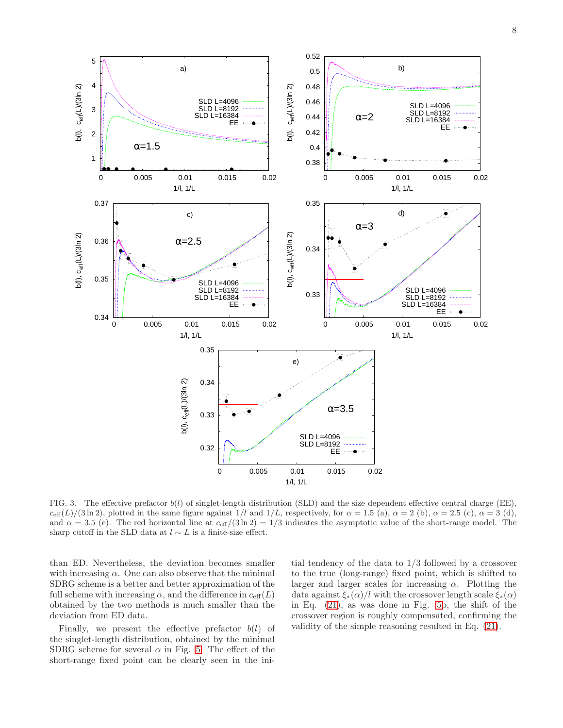

<span id="page-7-0"></span>FIG. 3. The effective prefactor  $b(l)$  of singlet-length distribution (SLD) and the size dependent effective central charge (EE),  $c_{\text{eff}}(L)/(3 \ln 2)$ , plotted in the same figure against  $1/l$  and  $1/L$ , respectively, for  $\alpha = 1.5$  (a),  $\alpha = 2$  (b),  $\alpha = 2.5$  (c),  $\alpha = 3$  (d), and  $\alpha = 3.5$  (e). The red horizontal line at  $c_{\text{eff}}/(3 \ln 2) = 1/3$  indicates the asymptotic value of the short-range model. The sharp cutoff in the SLD data at  $l \sim L$  is a finite-size effect.

than ED. Nevertheless, the deviation becomes smaller with increasing  $\alpha$ . One can also observe that the minimal SDRG scheme is a better and better approximation of the full scheme with increasing  $\alpha$ , and the difference in  $c_{\text{eff}}(L)$ obtained by the two methods is much smaller than the deviation from ED data.

Finally, we present the effective prefactor  $b(l)$  of the singlet-length distribution, obtained by the minimal SDRG scheme for several  $\alpha$  in Fig. [5.](#page-8-2) The effect of the short-range fixed point can be clearly seen in the ini-

tial tendency of the data to 1/3 followed by a crossover to the true (long-range) fixed point, which is shifted to larger and larger scales for increasing  $\alpha$ . Plotting the data against  $\xi_*(\alpha)/l$  with the crossover length scale  $\xi_*(\alpha)$ in Eq. [\(21\)](#page-5-1), as was done in Fig. [5b](#page-8-2), the shift of the crossover region is roughly compensated, confirming the validity of the simple reasoning resulted in Eq. [\(21\)](#page-5-1).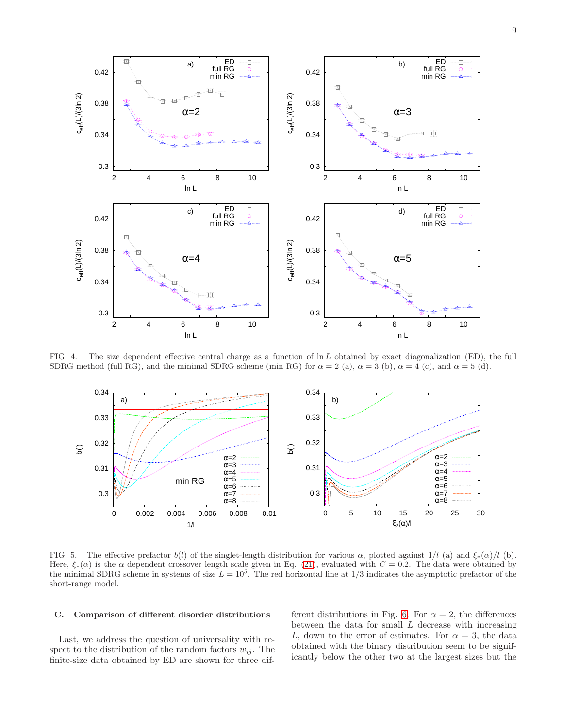

FIG. 4. The size dependent effective central charge as a function of  $\ln L$  obtained by exact diagonalization (ED), the full SDRG method (full RG), and the minimal SDRG scheme (min RG) for  $\alpha = 2$  (a),  $\alpha = 3$  (b),  $\alpha = 4$  (c), and  $\alpha = 5$  (d).

<span id="page-8-1"></span>

<span id="page-8-2"></span>FIG. 5. The effective prefactor  $b(l)$  of the singlet-length distribution for various  $\alpha$ , plotted against 1/l (a) and  $\xi_*(\alpha)/l$  (b). Here,  $\xi_*(\alpha)$  is the  $\alpha$  dependent crossover length scale given in Eq. [\(21\)](#page-5-1), evaluated with  $C = 0.2$ . The data were obtained by the minimal SDRG scheme in systems of size  $L = 10^5$ . The red horizontal line at 1/3 indicates the asymptotic prefactor of the short-range model.

### <span id="page-8-0"></span>C. Comparison of different disorder distributions

Last, we address the question of universality with respect to the distribution of the random factors  $w_{ij}$ . The finite-size data obtained by ED are shown for three different distributions in Fig. [6.](#page-10-11) For  $\alpha = 2$ , the differences between the data for small  $L$  decrease with increasing L, down to the error of estimates. For  $\alpha = 3$ , the data obtained with the binary distribution seem to be significantly below the other two at the largest sizes but the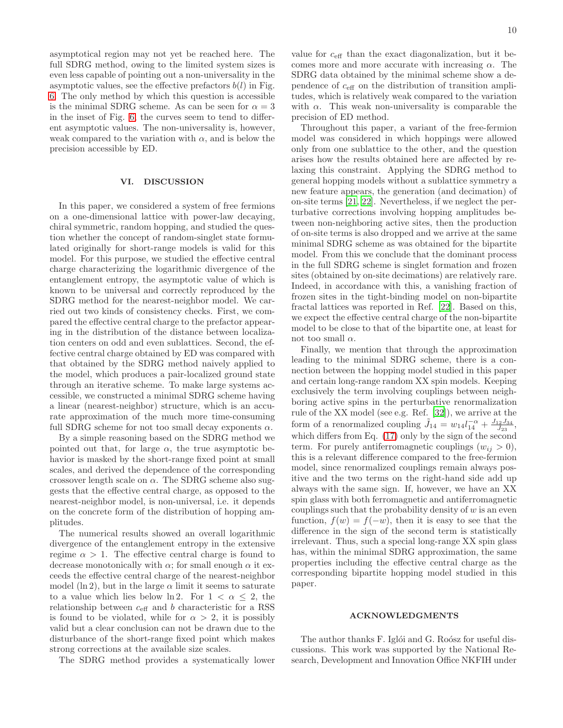asymptotical region may not yet be reached here. The full SDRG method, owing to the limited system sizes is even less capable of pointing out a non-universality in the asymptotic values, see the effective prefactors  $b(l)$  in Fig. [6.](#page-10-11) The only method by which this question is accessible is the minimal SDRG scheme. As can be seen for  $\alpha = 3$ in the inset of Fig. [6,](#page-10-11) the curves seem to tend to different asymptotic values. The non-universality is, however, weak compared to the variation with  $\alpha$ , and is below the precision accessible by ED.

## <span id="page-9-0"></span>VI. DISCUSSION

In this paper, we considered a system of free fermions on a one-dimensional lattice with power-law decaying, chiral symmetric, random hopping, and studied the question whether the concept of random-singlet state formulated originally for short-range models is valid for this model. For this purpose, we studied the effective central charge characterizing the logarithmic divergence of the entanglement entropy, the asymptotic value of which is known to be universal and correctly reproduced by the SDRG method for the nearest-neighbor model. We carried out two kinds of consistency checks. First, we compared the effective central charge to the prefactor appearing in the distribution of the distance between localization centers on odd and even sublattices. Second, the effective central charge obtained by ED was compared with that obtained by the SDRG method naively applied to the model, which produces a pair-localized ground state through an iterative scheme. To make large systems accessible, we constructed a minimal SDRG scheme having a linear (nearest-neighbor) structure, which is an accurate approximation of the much more time-consuming full SDRG scheme for not too small decay exponents  $\alpha$ .

By a simple reasoning based on the SDRG method we pointed out that, for large  $\alpha$ , the true asymptotic behavior is masked by the short-range fixed point at small scales, and derived the dependence of the corresponding crossover length scale on  $\alpha$ . The SDRG scheme also suggests that the effective central charge, as opposed to the nearest-neighbor model, is non-universal, i.e. it depends on the concrete form of the distribution of hopping amplitudes.

The numerical results showed an overall logarithmic divergence of the entanglement entropy in the extensive regime  $\alpha > 1$ . The effective central charge is found to decrease monotonically with  $\alpha$ ; for small enough  $\alpha$  it exceeds the effective central charge of the nearest-neighbor model (ln 2), but in the large  $\alpha$  limit it seems to saturate to a value which lies below ln 2. For  $1 < \alpha \leq 2$ , the relationship between  $c_{\text{eff}}$  and b characteristic for a RSS is found to be violated, while for  $\alpha > 2$ , it is possibly valid but a clear conclusion can not be drawn due to the disturbance of the short-range fixed point which makes strong corrections at the available size scales.

The SDRG method provides a systematically lower

value for  $c_{\text{eff}}$  than the exact diagonalization, but it becomes more and more accurate with increasing  $\alpha$ . The SDRG data obtained by the minimal scheme show a dependence of  $c_{\text{eff}}$  on the distribution of transition amplitudes, which is relatively weak compared to the variation with  $\alpha$ . This weak non-universality is comparable the precision of ED method.

Throughout this paper, a variant of the free-fermion model was considered in which hoppings were allowed only from one sublattice to the other, and the question arises how the results obtained here are affected by relaxing this constraint. Applying the SDRG method to general hopping models without a sublattice symmetry a new feature appears, the generation (and decimation) of on-site terms [\[21](#page-11-4), [22\]](#page-11-27). Nevertheless, if we neglect the perturbative corrections involving hopping amplitudes between non-neighboring active sites, then the production of on-site terms is also dropped and we arrive at the same minimal SDRG scheme as was obtained for the bipartite model. From this we conclude that the dominant process in the full SDRG scheme is singlet formation and frozen sites (obtained by on-site decimations) are relatively rare. Indeed, in accordance with this, a vanishing fraction of frozen sites in the tight-binding model on non-bipartite fractal lattices was reported in Ref. [\[22\]](#page-11-27). Based on this, we expect the effective central charge of the non-bipartite model to be close to that of the bipartite one, at least for not too small  $\alpha$ .

Finally, we mention that through the approximation leading to the minimal SDRG scheme, there is a connection between the hopping model studied in this paper and certain long-range random XX spin models. Keeping exclusively the term involving couplings between neighboring active spins in the perturbative renormalization rule of the XX model (see e.g. Ref. [\[32\]](#page-11-11)), we arrive at the form of a renormalized coupling  $\tilde{J}_{14} = w_{14} l_{14}^{-\alpha} + \frac{J_{12} J_{34}}{J_{23}},$ which differs from Eq.  $(17)$  only by the sign of the second term. For purely antiferromagnetic couplings  $(w_{ij} > 0)$ , this is a relevant difference compared to the free-fermion model, since renormalized couplings remain always positive and the two terms on the right-hand side add up always with the same sign. If, however, we have an XX spin glass with both ferromagnetic and antiferromagnetic couplings such that the probability density of  $w$  is an even function,  $f(w) = f(-w)$ , then it is easy to see that the difference in the sign of the second term is statistically irrelevant. Thus, such a special long-range XX spin glass has, within the minimal SDRG approximation, the same properties including the effective central charge as the corresponding bipartite hopping model studied in this paper.

### ACKNOWLEDGMENTS

The author thanks F. Iglói and G. Roósz for useful discussions. This work was supported by the National Research, Development and Innovation Office NKFIH under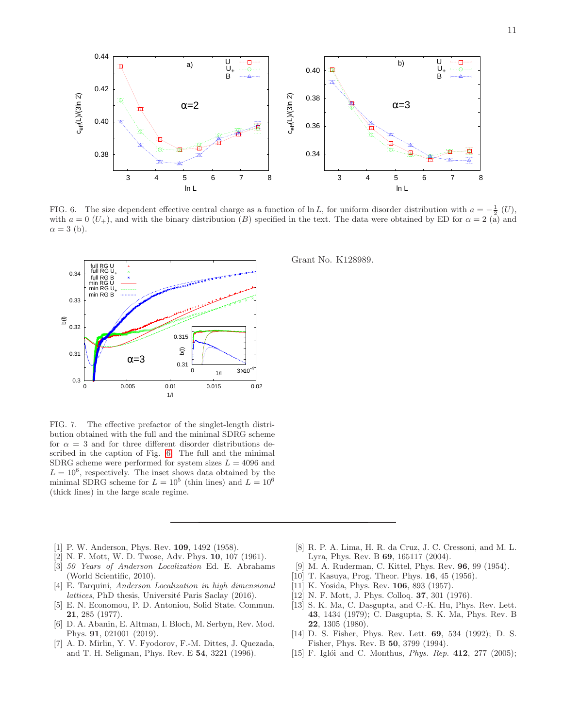

<span id="page-10-11"></span>FIG. 6. The size dependent effective central charge as a function of ln L, for uniform disorder distribution with  $a = -\frac{1}{2}$  (U), with  $a = 0$  (U<sub>+</sub>), and with the binary distribution (B) specified in the text. The data were obtained by ED for  $\alpha = 2$  (a) and  $\alpha = 3$  (b).



c<sub>eff</sub>(L)/(3ln 2)

 $c_{\text{eff}}(L)/(3ln 2)$ 

3 4 5 6 7 8

ln L

FIG. 7. The effective prefactor of the singlet-length distribution obtained with the full and the minimal SDRG scheme for  $\alpha = 3$  and for three different disorder distributions described in the caption of Fig. [6.](#page-10-11) The full and the minimal SDRG scheme were performed for system sizes  $L = 4096$  and  $L = 10^6$ , respectively. The inset shows data obtained by the minimal SDRG scheme for  $L = 10^5$  (thin lines) and  $L = 10^6$ (thick lines) in the large scale regime.

- <span id="page-10-0"></span>[1] P. W. Anderson, Phys. Rev. **109**, 1492 (1958).
- <span id="page-10-1"></span>[2] N. F. Mott, W. D. Twose, Adv. Phys. 10, 107 (1961).
- <span id="page-10-2"></span>[3] 50 Years of Anderson Localization Ed. E. Abrahams (World Scientific, 2010).
- [4] E. Tarquini, Anderson Localization in high dimensional lattices, PhD thesis, Université Paris Saclay (2016).
- [5] E. N. Economou, P. D. Antoniou, Solid State. Commun. 21, 285 (1977).
- <span id="page-10-3"></span>[6] D. A. Abanin, E. Altman, I. Bloch, M. Serbyn, Rev. Mod. Phys. 91, 021001 (2019).
- <span id="page-10-4"></span>[7] A. D. Mirlin, Y. V. Fyodorov, F.-M. Dittes, J. Quezada, and T. H. Seligman, Phys. Rev. E 54, 3221 (1996).

<span id="page-10-5"></span>[8] R. P. A. Lima, H. R. da Cruz, J. C. Cressoni, and M. L.

3 4 5 6 7 8

ln L

- Lyra, Phys. Rev. B 69, 165117 (2004).
- <span id="page-10-6"></span>[9] M. A. Ruderman, C. Kittel, Phys. Rev. 96, 99 (1954).
- [10] T. Kasuya, Prog. Theor. Phys. 16, 45 (1956).
- [11] K. Yosida, Phys. Rev. 106, 893 (1957).
- <span id="page-10-7"></span>[12] N. F. Mott, J. Phys. Colloq. 37, 301 (1976).
- <span id="page-10-8"></span>[13] S. K. Ma, C. Dasgupta, and C.-K. Hu, Phys. Rev. Lett. 43, 1434 (1979); C. Dasgupta, S. K. Ma, Phys. Rev. B 22, 1305 (1980).
- <span id="page-10-10"></span>[14] D. S. Fisher, Phys. Rev. Lett. 69, 534 (1992); D. S. Fisher, Phys. Rev. B 50, 3799 (1994).
- <span id="page-10-9"></span>[15] F. Iglói and C. Monthus, *Phys. Rep.*  $412$ ,  $277$  (2005);

Grant No. K128989.